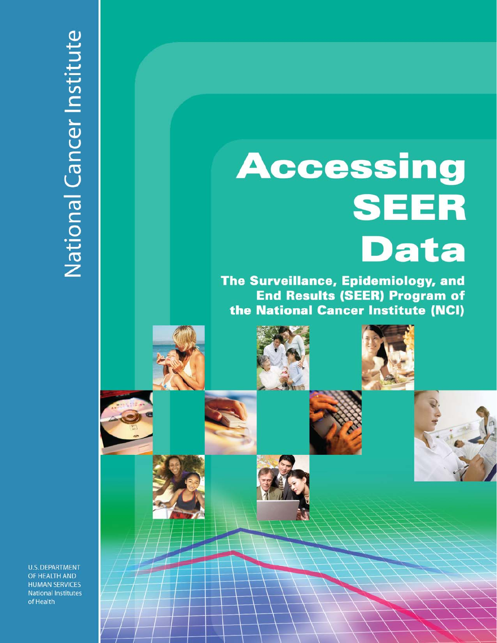# **Accessing SEER Data**

The Surveillance, Epidemiology, and **End Results (SEER) Program of** the National Cancer Institute (NCI)